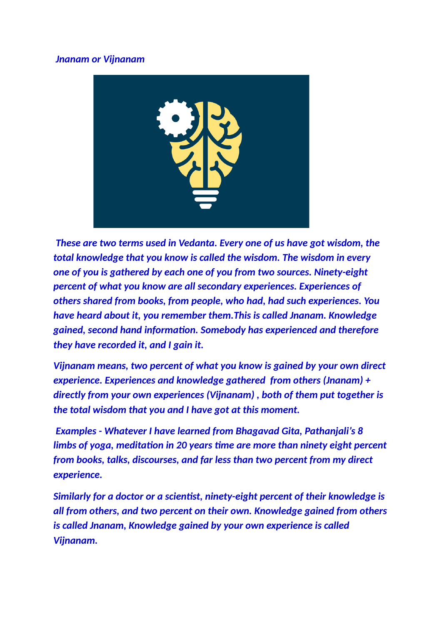## *Jnanam or Vijnanam*



*These are two terms used in Vedanta. Every one of us have got wisdom, the total knowledge that you know is called the wisdom. The wisdom in every one of you is gathered by each one of you from two sources. Ninety-eight percent of what you know are all secondary experiences. Experiences of others shared from books, from people, who had, had such experiences. You have heard about it, you remember them.This is called Jnanam. Knowledge gained, second hand information. Somebody has experienced and therefore they have recorded it, and I gain it.*

*Vijnanam means, two percent of what you know is gained by your own direct experience. Experiences and knowledge gathered from others (Jnanam) + directly from your own experiences (Vijnanam) , both of them put together is the total wisdom that you and I have got at this moment.*

*Examples - Whatever I have learned from Bhagavad Gita, Pathanjali's 8 limbs of yoga, meditation in 20 years time are more than ninety eight percent from books, talks, discourses, and far less than two percent from my direct experience.*

*Similarly for a doctor or a scientist, ninety-eight percent of their knowledge is all from others, and two percent on their own. Knowledge gained from others is called Jnanam, Knowledge gained by your own experience is called Vijnanam.*